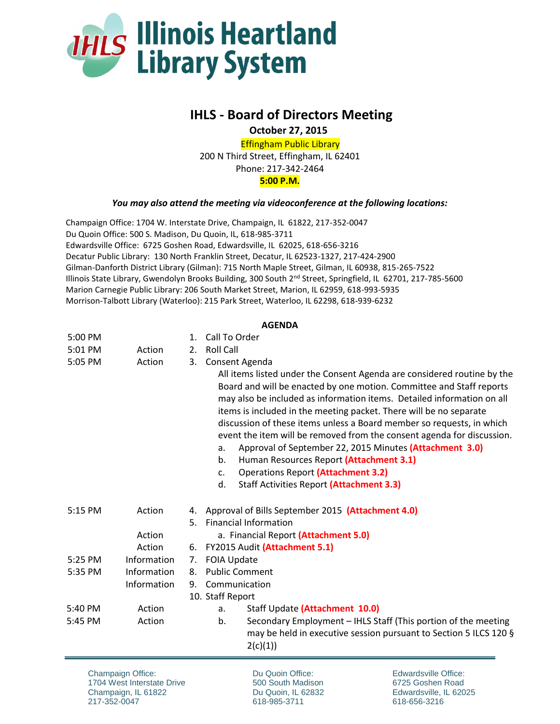

## **IHLS - Board of Directors Meeting**

 **October 27, 2015**

Effingham Public Library 200 N Third Street, Effingham, IL 62401 Phone: 217-342-2464 **5:00 P.M.**

*You may also attend the meeting via videoconference at the following locations:*

Champaign Office: 1704 W. Interstate Drive, Champaign, IL 61822, 217-352-0047 Du Quoin Office: 500 S. Madison, Du Quoin, IL, 618-985-3711 Edwardsville Office: 6725 Goshen Road, Edwardsville, IL 62025, 618-656-3216 Decatur Public Library: 130 North Franklin Street, Decatur, IL 62523-1327, 217-424-2900 Gilman-Danforth District Library (Gilman): 715 North Maple Street, Gilman, IL 60938, 815-265-7522 Illinois State Library, Gwendolyn Brooks Building, 300 South 2<sup>nd</sup> Street, Springfield, IL 62701, 217-785-5600 Marion Carnegie Public Library: 206 South Market Street, Marion, IL 62959, 618-993-5935 Morrison-Talbott Library (Waterloo): 215 Park Street, Waterloo, IL 62298, 618-939-6232

## **AGENDA**

| 5:00 PM |             | $1_{-}$ | Call To Order                                                                                                                                                                                                                                                                                                                                                                                                                                                                                                                                                                                                                                                             |
|---------|-------------|---------|---------------------------------------------------------------------------------------------------------------------------------------------------------------------------------------------------------------------------------------------------------------------------------------------------------------------------------------------------------------------------------------------------------------------------------------------------------------------------------------------------------------------------------------------------------------------------------------------------------------------------------------------------------------------------|
| 5:01 PM | Action      | 2.      | <b>Roll Call</b>                                                                                                                                                                                                                                                                                                                                                                                                                                                                                                                                                                                                                                                          |
| 5:05 PM | Action      | 3.      | Consent Agenda                                                                                                                                                                                                                                                                                                                                                                                                                                                                                                                                                                                                                                                            |
|         |             |         | All items listed under the Consent Agenda are considered routine by the<br>Board and will be enacted by one motion. Committee and Staff reports<br>may also be included as information items. Detailed information on all<br>items is included in the meeting packet. There will be no separate<br>discussion of these items unless a Board member so requests, in which<br>event the item will be removed from the consent agenda for discussion.<br>Approval of September 22, 2015 Minutes (Attachment 3.0)<br>a.<br>Human Resources Report (Attachment 3.1)<br>b.<br><b>Operations Report (Attachment 3.2)</b><br>c.<br>d.<br>Staff Activities Report (Attachment 3.3) |
| 5:15 PM | Action      |         | 4. Approval of Bills September 2015 (Attachment 4.0)                                                                                                                                                                                                                                                                                                                                                                                                                                                                                                                                                                                                                      |
|         |             | 5.      | <b>Financial Information</b>                                                                                                                                                                                                                                                                                                                                                                                                                                                                                                                                                                                                                                              |
|         | Action      |         | a. Financial Report (Attachment 5.0)                                                                                                                                                                                                                                                                                                                                                                                                                                                                                                                                                                                                                                      |
|         | Action      | 6.      | FY2015 Audit (Attachment 5.1)                                                                                                                                                                                                                                                                                                                                                                                                                                                                                                                                                                                                                                             |
| 5:25 PM | Information | 7.      | <b>FOIA Update</b>                                                                                                                                                                                                                                                                                                                                                                                                                                                                                                                                                                                                                                                        |
| 5:35 PM | Information | 8.      | <b>Public Comment</b>                                                                                                                                                                                                                                                                                                                                                                                                                                                                                                                                                                                                                                                     |
|         | Information | 9.      | Communication                                                                                                                                                                                                                                                                                                                                                                                                                                                                                                                                                                                                                                                             |
|         |             |         | 10. Staff Report                                                                                                                                                                                                                                                                                                                                                                                                                                                                                                                                                                                                                                                          |
| 5:40 PM | Action      |         | Staff Update (Attachment 10.0)<br>a.                                                                                                                                                                                                                                                                                                                                                                                                                                                                                                                                                                                                                                      |
| 5:45 PM | Action      |         | Secondary Employment - IHLS Staff (This portion of the meeting<br>b.<br>may be held in executive session pursuant to Section 5 ILCS 120 §<br>2(c)(1))                                                                                                                                                                                                                                                                                                                                                                                                                                                                                                                     |

Champaign Office: 1704 West Interstate Drive Champaign, IL 61822 217-352-0047

Du Quoin Office: 500 South Madison Du Quoin, IL 62832 618-985-3711

Edwardsville Office: 6725 Goshen Road Edwardsville, IL 62025 618-656-3216